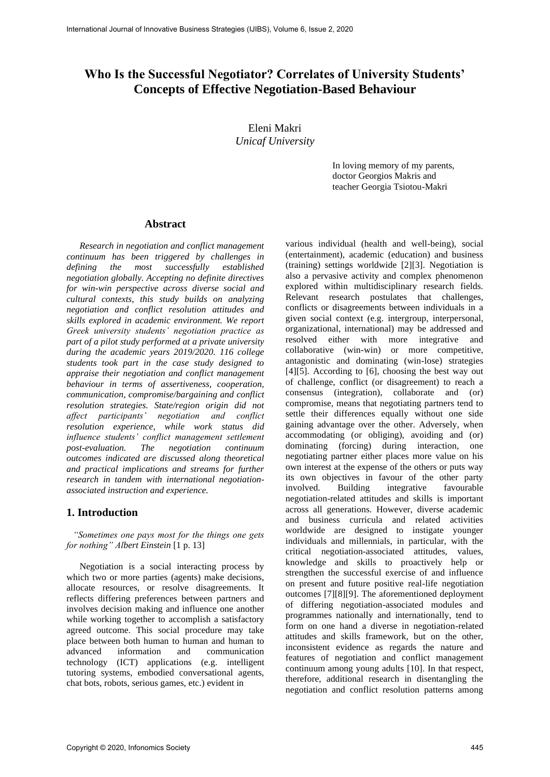# **Who Is the Successful Negotiator? Correlates of University Students' Concepts of Effective Negotiation-Based Behaviour**

Eleni Makri *Unicaf University* 

> In loving memory of my parents, doctor Georgios Makris and teacher Georgia Tsiotou-Makri

### **Abstract**

*Research in negotiation and conflict management continuum has been triggered by challenges in defining the most successfully established negotiation globally. Accepting no definite directives for win-win perspective across diverse social and cultural contexts, this study builds on analyzing negotiation and conflict resolution attitudes and skills explored in academic environment. We report Greek university students' negotiation practice as part of a pilot study performed at a private university during the academic years 2019/2020. 116 college students took part in the case study designed to appraise their negotiation and conflict management behaviour in terms of assertiveness, cooperation, communication, compromise/bargaining and conflict resolution strategies. State/region origin did not affect participants' negotiation and conflict resolution experience, while work status did influence students' conflict management settlement post-evaluation. The negotiation continuum outcomes indicated are discussed along theoretical and practical implications and streams for further research in tandem with international negotiationassociated instruction and experience.* 

# **1. Introduction**

*"Sometimes one pays most for the things one gets for nothing" Albert Einstein* [1 p. 13]

Negotiation is a social interacting process by which two or more parties (agents) make decisions, allocate resources, or resolve disagreements. It reflects differing preferences between partners and involves decision making and influence one another while working together to accomplish a satisfactory agreed outcome. This social procedure may take place between both human to human and human to advanced information and communication technology (ICT) applications (e.g. intelligent tutoring systems, embodied conversational agents, chat bots, robots, serious games, etc.) evident in

various individual (health and well-being), social (entertainment), academic (education) and business (training) settings worldwide [2][3]. Negotiation is also a pervasive activity and complex phenomenon explored within multidisciplinary research fields. Relevant research postulates that challenges, conflicts or disagreements between individuals in a given social context (e.g. intergroup, interpersonal, organizational, international) may be addressed and resolved either with more integrative and collaborative (win-win) or more competitive, antagonistic and dominating (win-lose) strategies  $[4][5]$ . According to  $[6]$ , choosing the best way out of challenge, conflict (or disagreement) to reach a consensus (integration), collaborate and (or) compromise, means that negotiating partners tend to settle their differences equally without one side gaining advantage over the other. Adversely, when accommodating (or obliging), avoiding and (or) dominating (forcing) during interaction, one negotiating partner either places more value on his own interest at the expense of the others or puts way its own objectives in favour of the other party involved. Building integrative favourable negotiation-related attitudes and skills is important across all generations. However, diverse academic and business curricula and related activities worldwide are designed to instigate younger individuals and millennials, in particular, with the critical negotiation-associated attitudes, values, knowledge and skills to proactively help or strengthen the successful exercise of and influence on present and future positive real-life negotiation outcomes [7][8][9]. The aforementioned deployment of differing negotiation-associated modules and programmes nationally and internationally, tend to form on one hand a diverse in negotiation-related attitudes and skills framework, but on the other, inconsistent evidence as regards the nature and features of negotiation and conflict management continuum among young adults [10]. In that respect, therefore, additional research in disentangling the negotiation and conflict resolution patterns among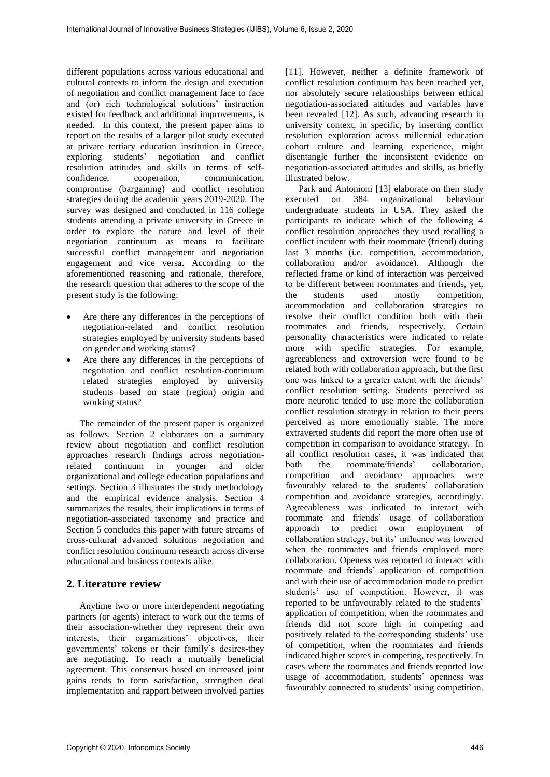different populations across various educational and cultural contexts to inform the design and execution of negotiation and conflict management face to face and (or) rich technological solutions' instruction existed for feedback and additional improvements, is needed. In this context, the present paper aims to report on the results of a larger pilot study executed at private tertiary education institution in Greece, exploring students' negotiation and conflict resolution attitudes and skills in terms of self-<br>confidence, cooperation, communication, cooperation, communication, compromise (bargaining) and conflict resolution strategies during the academic years 2019-2020. The survey was designed and conducted in 116 college students attending a private university in Greece in order to explore the nature and level of their negotiation continuum as means to facilitate successful conflict management and negotiation engagement and vice versa. According to the aforementioned reasoning and rationale, therefore, the research question that adheres to the scope of the present study is the following:

- Are there any differences in the perceptions of negotiation-related and conflict resolution strategies employed by university students based on gender and working status?
- Are there any differences in the perceptions of negotiation and conflict resolution-continuum related strategies employed by university students based on state (region) origin and working status?

The remainder of the present paper is organized as follows. Section 2 elaborates on a summary review about negotiation and conflict resolution approaches research findings across negotiationrelated continuum in younger and older organizational and college education populations and settings. Section 3 illustrates the study methodology and the empirical evidence analysis. Section 4 summarizes the results, their implications in terms of negotiation-associated taxonomy and practice and Section 5 concludes this paper with future streams of cross-cultural advanced solutions negotiation and conflict resolution continuum research across diverse educational and business contexts alike.

# **2. Literature review**

Anytime two or more interdependent negotiating partners (or agents) interact to work out the terms of their association-whether they represent their own interests, their organizations' objectives, their governments' tokens or their family's desires-they are negotiating. To reach a mutually beneficial agreement. This consensus based on increased joint gains tends to form satisfaction, strengthen deal implementation and rapport between involved parties

[11]. However, neither a definite framework of conflict resolution continuum has been reached yet, nor absolutely secure relationships between ethical negotiation-associated attitudes and variables have been revealed [12]. As such, advancing research in university context, in specific, by inserting conflict resolution exploration across millennial education cohort culture and learning experience, might disentangle further the inconsistent evidence on negotiation-associated attitudes and skills, as briefly illustrated below.

Park and Antonioni [13] elaborate on their study executed on 384 organizational behaviour undergraduate students in USA. They asked the participants to indicate which of the following 4 conflict resolution approaches they used recalling a conflict incident with their roommate (friend) during last 3 months (i.e. competition, accommodation, collaboration and/or avoidance). Although the reflected frame or kind of interaction was perceived to be different between roommates and friends, yet, the students used mostly competition, accommodation and collaboration strategies to resolve their conflict condition both with their roommates and friends, respectively. Certain personality characteristics were indicated to relate more with specific strategies. For example, agreeableness and extroversion were found to be related both with collaboration approach, but the first one was linked to a greater extent with the friends' conflict resolution setting. Students perceived as more neurotic tended to use more the collaboration conflict resolution strategy in relation to their peers perceived as more emotionally stable. The more extraverted students did report the more often use of competition in comparison to avoidance strategy. In all conflict resolution cases, it was indicated that both the roommate/friends' collaboration, competition and avoidance approaches were favourably related to the students' collaboration competition and avoidance strategies, accordingly. Agreeableness was indicated to interact with roommate and friends' usage of collaboration approach to predict own employment of collaboration strategy, but its' influence was lowered when the roommates and friends employed more collaboration. Openess was reported to interact with roommate and friends' application of competition and with their use of accommodation mode to predict students' use of competition. However, it was reported to be unfavourably related to the students' application of competition, when the roommates and friends did not score high in competing and positively related to the corresponding students' use of competition, when the roommates and friends indicated higher scores in competing, respectively. In cases where the roommates and friends reported low usage of accommodation, students' openness was favourably connected to students' using competition.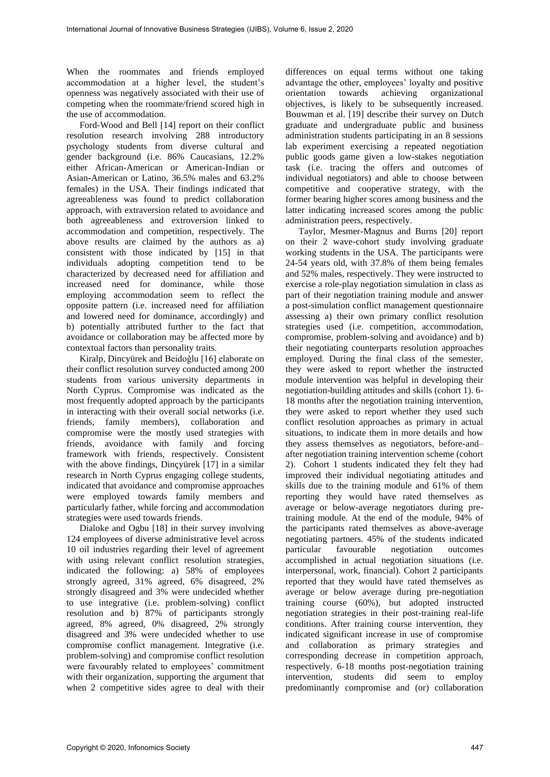When the roommates and friends employed accommodation at a higher level, the student's openness was negatively associated with their use of competing when the roommate/friend scored high in the use of accommodation.

Ford-Wood and Bell [14] report on their conflict resolution research involving 288 introductory psychology students from diverse cultural and gender background (i.e. 86% Caucasians, 12.2% either African-American or American-Indian or Asian-American or Latino, 36.5% males and 63.2% females) in the USA. Their findings indicated that agreeableness was found to predict collaboration approach, with extraversion related to avoidance and both agreeableness and extroversion linked to accommodation and competition, respectively. The above results are claimed by the authors as a) consistent with those indicated by [15] in that individuals adopting competition tend to be characterized by decreased need for affiliation and increased need for dominance, while those employing accommodation seem to reflect the opposite pattern (i.e. increased need for affiliation and lowered need for dominance, accordingly) and b) potentially attributed further to the fact that avoidance or collaboration may be affected more by contextual factors than personality traits.

Kiralp, Dincyürek and Beidoğlu [16] elaborate on their conflict resolution survey conducted among 200 students from various university departments in North Cyprus. Compromise was indicated as the most frequently adopted approach by the participants in interacting with their overall social networks (i.e. friends, family members), collaboration and compromise were the mostly used strategies with friends, avoidance with family and forcing framework with friends, respectively. Consistent with the above findings, Dinçyürek [17] in a similar research in North Cyprus engaging college students, indicated that avoidance and compromise approaches were employed towards family members and particularly father, while forcing and accommodation strategies were used towards friends.

Dialoke and Ogbu [18] in their survey involving 124 employees of diverse administrative level across 10 oil industries regarding their level of agreement with using relevant conflict resolution strategies, indicated the following: a) 58% of employees strongly agreed, 31% agreed, 6% disagreed, 2% strongly disagreed and 3% were undecided whether to use integrative (i.e. problem-solving) conflict resolution and b) 87% of participants strongly agreed, 8% agreed, 0% disagreed, 2% strongly disagreed and 3% were undecided whether to use compromise conflict management. Integrative (i.e. problem-solving) and compromise conflict resolution were favourably related to employees' commitment with their organization, supporting the argument that when 2 competitive sides agree to deal with their

differences on equal terms without one taking advantage the other, employees' loyalty and positive orientation towards achieving organizational objectives, is likely to be subsequently increased. Bouwman et al. [19] describe their survey on Dutch graduate and undergraduate public and business administration students participating in an 8 sessions lab experiment exercising a repeated negotiation public goods game given a low-stakes negotiation task (i.e. tracing the offers and outcomes of individual negotiators) and able to choose between competitive and cooperative strategy, with the former bearing higher scores among business and the latter indicating increased scores among the public administration peers, respectively.

Taylor, Mesmer-Magnus and Burns [20] report on their 2 wave-cohort study involving graduate working students in the USA. The participants were 24-54 years old, with 37.8% of them being females and 52% males, respectively. They were instructed to exercise a role-play negotiation simulation in class as part of their negotiation training module and answer a post-simulation conflict management questionnaire assessing a) their own primary conflict resolution strategies used (i.e. competition, accommodation, compromise, problem-solving and avoidance) and b) their negotiating counterparts resolution approaches employed. During the final class of the semester, they were asked to report whether the instructed module intervention was helpful in developing their negotiation-building attitudes and skills (cohort 1). 6- 18 months after the negotiation training intervention, they were asked to report whether they used such conflict resolution approaches as primary in actual situations, to indicate them in more details and how they assess themselves as negotiators, before-and– after negotiation training intervention scheme (cohort 2). Cohort 1 students indicated they felt they had improved their individual negotiating attitudes and skills due to the training module and 61% of them reporting they would have rated themselves as average or below-average negotiators during pretraining module. At the end of the module, 94% of the participants rated themselves as above-average negotiating partners. 45% of the students indicated particular favourable negotiation outcomes accomplished in actual negotiation situations (i.e. interpersonal, work, financial). Cohort 2 participants reported that they would have rated themselves as average or below average during pre-negotiation training course (60%), but adopted instructed negotiation strategies in their post-training real-life conditions. After training course intervention, they indicated significant increase in use of compromise and collaboration as primary strategies and corresponding decrease in competition approach, respectively. 6-18 months post-negotiation training intervention, students did seem to employ predominantly compromise and (or) collaboration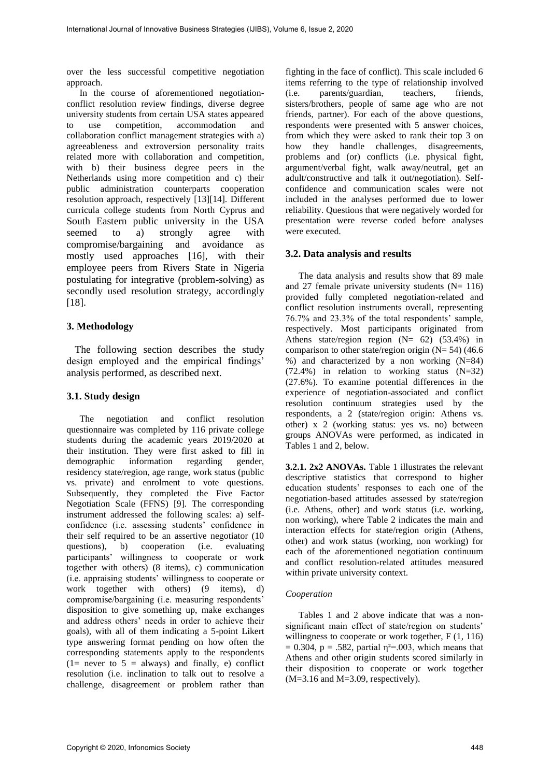over the less successful competitive negotiation approach.

In the course of aforementioned negotiationconflict resolution review findings, diverse degree university students from certain USA states appeared to use competition, accommodation and collaboration conflict management strategies with a) agreeableness and extroversion personality traits related more with collaboration and competition, with b) their business degree peers in the Netherlands using more competition and c) their public administration counterparts cooperation resolution approach, respectively [13][14]. Different curricula college students from North Cyprus and South Eastern public university in the USA seemed to a) strongly agree with compromise/bargaining and avoidance as mostly used approaches [16], with their employee peers from Rivers State in Nigeria postulating for integrative (problem-solving) as secondly used resolution strategy, accordingly [18].

# **3. Methodology**

The following section describes the study design employed and the empirical findings' analysis performed, as described next.

# **3.1. Study design**

The negotiation and conflict resolution questionnaire was completed by 116 private college students during the academic years 2019/2020 at their institution. They were first asked to fill in<br>demographic information regarding gender. demographic information regarding gender, residency state/region, age range, work status (public vs. private) and enrolment to vote questions. Subsequently, they completed the Five Factor Negotiation Scale (FFNS) [9]. The corresponding instrument addressed the following scales: a) selfconfidence (i.e. assessing students' confidence in their self required to be an assertive negotiator (10 questions), b) cooperation (i.e. evaluating participants' willingness to cooperate or work together with others) (8 items), c) communication (i.e. appraising students' willingness to cooperate or work together with others) (9 items), d) compromise/bargaining (i.e. measuring respondents' disposition to give something up, make exchanges and address others' needs in order to achieve their goals), with all of them indicating a 5-point Likert type answering format pending on how often the corresponding statements apply to the respondents  $(1=$  never to  $5 =$  always) and finally, e) conflict resolution (i.e. inclination to talk out to resolve a challenge, disagreement or problem rather than

fighting in the face of conflict). This scale included 6 items referring to the type of relationship involved (i.e. parents/guardian, teachers, friends, sisters/brothers, people of same age who are not friends, partner). For each of the above questions, respondents were presented with 5 answer choices, from which they were asked to rank their top 3 on<br>how they handle challenges, disagreements, they handle challenges, disagreements, problems and (or) conflicts (i.e. physical fight, argument/verbal fight, walk away/neutral, get an adult/constructive and talk it out/negotiation). Selfconfidence and communication scales were not included in the analyses performed due to lower reliability. Questions that were negatively worded for presentation were reverse coded before analyses were executed.

# **3.2. Data analysis and results**

The data analysis and results show that 89 male and 27 female private university students  $(N= 116)$ provided fully completed negotiation-related and conflict resolution instruments overall, representing 76.7% and 23.3% of the total respondents' sample, respectively. Most participants originated from Athens state/region region  $(N= 62)$  (53.4%) in comparison to other state/region origin  $(N= 54)$  (46.6) %) and characterized by a non working (N=84) (72.4%) in relation to working status (N=32) (27.6%). To examine potential differences in the experience of negotiation-associated and conflict resolution continuum strategies used by the respondents, a 2 (state/region origin: Athens vs. other) x 2 (working status: yes vs. no) between groups ANOVAs were performed, as indicated in Tables 1 and 2, below.

**3.2.1. 2x2 ANOVAs.** Table 1 illustrates the relevant descriptive statistics that correspond to higher education students' responses to each one of the negotiation-based attitudes assessed by state/region (i.e. Athens, other) and work status (i.e. working, non working), where Table 2 indicates the main and interaction effects for state/region origin (Athens, other) and work status (working, non working) for each of the aforementioned negotiation continuum and conflict resolution-related attitudes measured within private university context.

# *Cooperation*

Tables 1 and 2 above indicate that was a nonsignificant main effect of state/region on students' willingness to cooperate or work together, F  $(1, 116)$  $= 0.304$ , p = .582, partial  $\eta^2 = .003$ , which means that Athens and other origin students scored similarly in their disposition to cooperate or work together  $(M=3.16$  and  $M=3.09$ , respectively).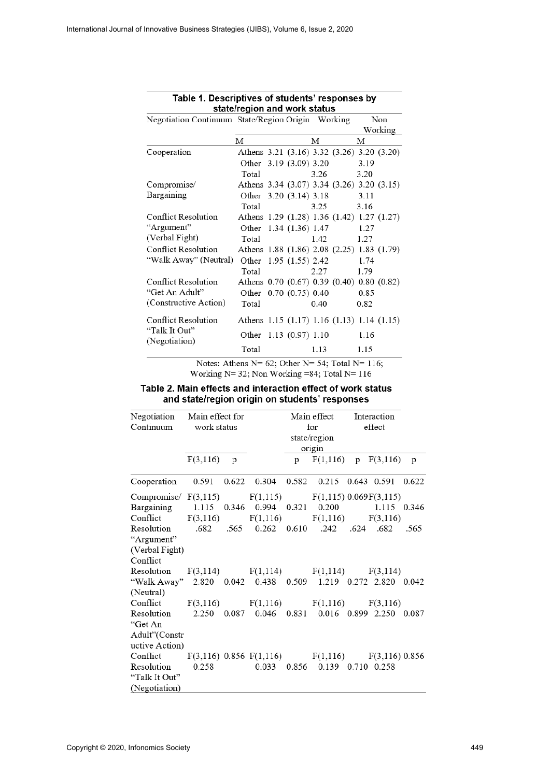| Negotiation Continuum State/Region Origin Working     |                                            |                   |      |  | Non  |         |
|-------------------------------------------------------|--------------------------------------------|-------------------|------|--|------|---------|
|                                                       |                                            |                   |      |  |      | Working |
|                                                       | М                                          | м                 |      |  | М    |         |
| Cooperation                                           | Athens 3.21 (3.16) 3.32 (3.26) 3.20 (3.20) |                   |      |  |      |         |
|                                                       | Other 3.19 (3.09) 3.20                     |                   |      |  | 3.19 |         |
|                                                       | Total                                      |                   | 3.26 |  | 3.20 |         |
| Compromise/                                           | Athens 3.34 (3.07) 3.34 (3.26) 3.20 (3.15) |                   |      |  |      |         |
| Bargaining                                            | Other 3.20 (3.14) 3.18                     |                   |      |  | 3.11 |         |
|                                                       | Total                                      |                   | 3.25 |  | 3.16 |         |
| <b>Conflict Resolution</b>                            | Athens 1.29 (1.28) 1.36 (1.42) 1.27 (1.27) |                   |      |  |      |         |
| "Argument"                                            | Other                                      | 1.34 (1.36) 1.47  |      |  | 1.27 |         |
| (Verbal Fight)                                        | Total                                      |                   | 1.42 |  | 1.27 |         |
| Conflict Resolution                                   | Athens 1.88 (1.86) 2.08 (2.25) 1.83 (1.79) |                   |      |  |      |         |
| "Walk Away" (Neutral)                                 | Other                                      | $1.95(1.55)$ 2.42 |      |  | 1.74 |         |
|                                                       | Total                                      |                   | 2.27 |  | 1.79 |         |
| Conflict Resolution                                   | Athens 0.70 (0.67) 0.39 (0.40) 0.80 (0.82) |                   |      |  |      |         |
| "Get An Adult"                                        | Other                                      | 0.70(0.75)0.40    |      |  | 0.85 |         |
| (Constructive Action)                                 | Total                                      |                   | 0.40 |  | 0.82 |         |
| Conflict Resolution<br>"Talk It Out"<br>(Negotiation) | Athens 1.15 (1.17) 1.16 (1.13) 1.14 (1.15) |                   |      |  |      |         |
|                                                       | Other 1.13 (0.97) 1.10                     |                   |      |  | 1.16 |         |
|                                                       | Total                                      |                   | 1.13 |  | 1.15 |         |

# Table 1. Descriptives of students' responses by state/region and work status

Notes: Athens N= 62; Other N= 54; Total N= 116; Working N= 32; Non Working = 84; Total N= 116

| WOIKING $N = 32$ , NOIL WOIKING $-64$ , Total $N = 110$     |
|-------------------------------------------------------------|
| Table 2. Main effects and interaction effect of work status |
| and state/region origin on students' responses              |

| Negotiation                                                  | Main effect for<br>Continuum work status |       |                                                         | Main effect<br>for<br>state/region |                       | Interaction<br>effect |            |       |
|--------------------------------------------------------------|------------------------------------------|-------|---------------------------------------------------------|------------------------------------|-----------------------|-----------------------|------------|-------|
|                                                              |                                          |       |                                                         |                                    | origin                |                       |            |       |
|                                                              | F(3,116)                                 | p     |                                                         | p                                  | F(1,116)              |                       | p F(3,116) | p     |
| Cooperation                                                  | 0.591                                    | 0.622 | 0.304                                                   | 0.582                              | 0.215 0.643 0.591     |                       |            | 0.622 |
| Compromise $F(3,115)$ $F(1,115)$ $F(1,115)$ 0.069 $F(3,115)$ |                                          |       |                                                         |                                    |                       |                       |            |       |
| Bargaining 1.115 0.346 0.994 0.321 0.200 1.115 0.346         |                                          |       |                                                         |                                    |                       |                       |            |       |
| Conflict $F(3,116)$ $F(1,116)$ $F(1,116)$ $F(3,116)$         |                                          |       |                                                         |                                    |                       |                       |            |       |
| 682. Resolution 682. 565 0.262 0.610 .242                    |                                          |       |                                                         |                                    |                       |                       |            | .565  |
| "Argument"                                                   |                                          |       |                                                         |                                    |                       |                       |            |       |
| (Verbal Fight)                                               |                                          |       |                                                         |                                    |                       |                       |            |       |
| Conflict                                                     |                                          |       |                                                         |                                    |                       |                       |            |       |
| Resolution $F(3,114)$ $F(1,114)$                             |                                          |       |                                                         |                                    | $F(1,114)$ $F(3,114)$ |                       |            |       |
| "Walk Away" 2.820 0.042 0.438 0.509 1.219 0.272 2.820 0.042  |                                          |       |                                                         |                                    |                       |                       |            |       |
| (Neutral)                                                    |                                          |       |                                                         |                                    |                       |                       |            |       |
| Conflict $F(3,116)$ $F(1,116)$ $F(1,116)$ $F(3,116)$         |                                          |       |                                                         |                                    |                       |                       |            |       |
| Resolution 2.250                                             |                                          |       | 0.087 0.046 0.831 0.016 0.899 2.250 0.087               |                                    |                       |                       |            |       |
| "Get An                                                      |                                          |       |                                                         |                                    |                       |                       |            |       |
| Adult"(Constr                                                |                                          |       |                                                         |                                    |                       |                       |            |       |
| uctive Action)                                               |                                          |       |                                                         |                                    |                       |                       |            |       |
| Conflict                                                     |                                          |       | $F(3,116)$ 0.856 $F(1,116)$ $F(1,116)$ $F(3,116)$ 0.856 |                                    |                       |                       |            |       |
| Resolution                                                   | 0.258                                    |       | 0.033                                                   | 0.856                              | 0.139 0.710 0.258     |                       |            |       |
| "Talk It Out"                                                |                                          |       |                                                         |                                    |                       |                       |            |       |
| (Negotiation)                                                |                                          |       |                                                         |                                    |                       |                       |            |       |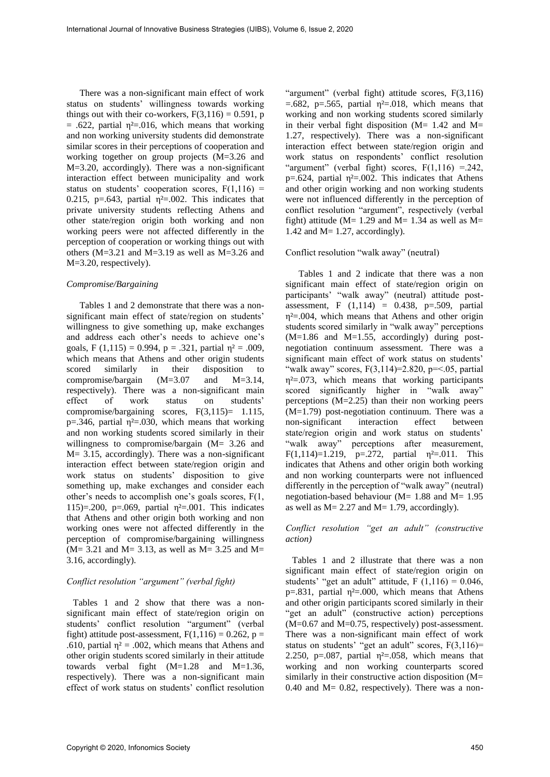There was a non-significant main effect of work status on students' willingness towards working things out with their co-workers,  $F(3,116) = 0.591$ , p  $= .622$ , partial  $\eta^2 = .016$ , which means that working and non working university students did demonstrate similar scores in their perceptions of cooperation and working together on group projects (M=3.26 and M=3.20, accordingly). There was a non-significant interaction effect between municipality and work status on students' cooperation scores,  $F(1,116) =$ 0.215, p=.643, partial  $\eta^2$ =.002. This indicates that private university students reflecting Athens and other state/region origin both working and non working peers were not affected differently in the perception of cooperation or working things out with others ( $M=3.21$  and  $M=3.19$  as well as  $M=3.26$  and M=3.20, respectively).

#### *Compromise/Bargaining*

Tables 1 and 2 demonstrate that there was a nonsignificant main effect of state/region on students' willingness to give something up, make exchanges and address each other's needs to achieve one's goals, F (1,115) = 0.994, p = .321, partial  $\eta^2$  = .009, which means that Athens and other origin students scored similarly in their disposition to compromise/bargain (M=3.07 and M=3.14, respectively). There was a non-significant main effect of work status on students' compromise/bargaining scores,  $F(3,115) = 1.115$ , p=.346, partial  $\eta^2$ =.030, which means that working and non working students scored similarly in their willingness to compromise/bargain (M= 3.26 and M= 3.15, accordingly). There was a non-significant interaction effect between state/region origin and work status on students' disposition to give something up, make exchanges and consider each other's needs to accomplish one's goals scores, F(1, 115)=.200, p=.069, partial  $\eta^2$ =.001. This indicates that Athens and other origin both working and non working ones were not affected differently in the perception of compromise/bargaining willingness  $(M= 3.21$  and  $M= 3.13$ , as well as  $M= 3.25$  and  $M=$ 3.16, accordingly).

#### *Conflict resolution "argument" (verbal fight)*

Tables 1 and 2 show that there was a nonsignificant main effect of state/region origin on students' conflict resolution "argument" (verbal fight) attitude post-assessment,  $F(1,116) = 0.262$ , p = .610, partial  $\eta^2 = .002$ , which means that Athens and other origin students scored similarly in their attitude towards verbal fight  $(M=1.28$  and  $M=1.36$ , respectively). There was a non-significant main effect of work status on students' conflict resolution

"argument" (verbal fight) attitude scores, F(3,116)  $=$ .682, p=.565, partial  $\eta^2$ =.018, which means that working and non working students scored similarly in their verbal fight disposition ( $M= 1.42$  and  $M=$ 1.27, respectively). There was a non-significant interaction effect between state/region origin and work status on respondents' conflict resolution "argument" (verbal fight) scores,  $F(1,116) = .242$ , p=.624, partial  $\eta^2$ =.002. This indicates that Athens and other origin working and non working students were not influenced differently in the perception of conflict resolution "argument", respectively (verbal fight) attitude ( $M= 1.29$  and  $M= 1.34$  as well as  $M=$ 1.42 and M= 1.27, accordingly).

#### Conflict resolution "walk away" (neutral)

Tables 1 and 2 indicate that there was a non significant main effect of state/region origin on participants' "walk away" (neutral) attitude postassessment, F  $(1,114) = 0.438$ , p=.509, partial η²=.004, which means that Athens and other origin students scored similarly in "walk away" perceptions (M=1.86 and M=1.55, accordingly) during postnegotiation continuum assessment. There was a significant main effect of work status on students' "walk away" scores,  $F(3,114)=2.820$ ,  $p=<.05$ , partial  $\eta^2 = 0.073$ , which means that working participants scored significantly higher in "walk away" perceptions (M=2.25) than their non working peers (M=1.79) post-negotiation continuum. There was a non-significant interaction effect between state/region origin and work status on students' "walk away" perceptions after measurement, F(1,114)=1.219, p=.272, partial  $\eta^2$ =.011. This indicates that Athens and other origin both working and non working counterparts were not influenced differently in the perception of "walk away" (neutral) negotiation-based behaviour ( $M= 1.88$  and  $M= 1.95$ as well as  $M = 2.27$  and  $M = 1.79$ , accordingly).

#### *Conflict resolution "get an adult" (constructive action)*

Tables 1 and 2 illustrate that there was a non significant main effect of state/region origin on students' "get an adult" attitude, F  $(1,116) = 0.046$ , p=.831, partial  $\eta^2$ =.000, which means that Athens and other origin participants scored similarly in their "get an adult" (constructive action) perceptions  $(M=0.67$  and  $M=0.75$ , respectively) post-assessment. There was a non-significant main effect of work status on students' "get an adult" scores,  $F(3,116)=$ 2.250, p=.087, partial  $\eta^2$ =.058, which means that working and non working counterparts scored similarly in their constructive action disposition (M= 0.40 and  $M = 0.82$ , respectively). There was a non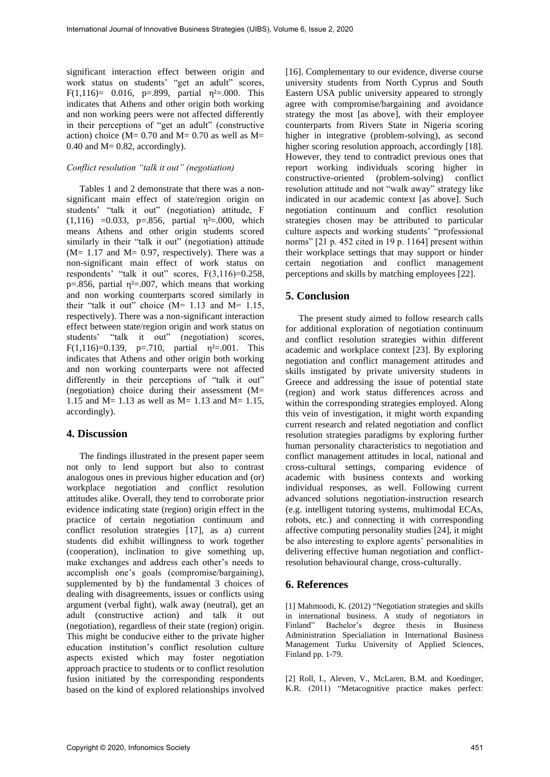significant interaction effect between origin and work status on students' "get an adult" scores, F(1,116)= 0.016, p=.899, partial  $\eta^2$ =.000. This indicates that Athens and other origin both working and non working peers were not affected differently in their perceptions of "get an adult" (constructive action) choice ( $M = 0.70$  and  $M = 0.70$  as well as  $M =$ 0.40 and  $M = 0.82$ , accordingly).

# *Conflict resolution "talk it out" (negotiation)*

Tables 1 and 2 demonstrate that there was a nonsignificant main effect of state/region origin on students' "talk it out" (negotiation) attitude, F (1,116) =0.033, p=.856, partial  $\eta^2$ =.000, which means Athens and other origin students scored similarly in their "talk it out" (negotiation) attitude  $(M= 1.17$  and  $M= 0.97$ , respectively). There was a non-significant main effect of work status on respondents' "talk it out" scores, F(3,116)=0.258, p=.856, partial  $\eta^2$ =.007, which means that working and non working counterparts scored similarly in their "talk it out" choice  $(M= 1.13$  and  $M= 1.15$ , respectively). There was a non-significant interaction effect between state/region origin and work status on students' "talk it out" (negotiation) scores, F(1,116)=0.139, p=.710, partial  $\eta^2$ =.001. This indicates that Athens and other origin both working and non working counterparts were not affected differently in their perceptions of "talk it out" (negotiation) choice during their assessment (M= 1.15 and  $M = 1.13$  as well as  $M = 1.13$  and  $M = 1.15$ , accordingly).

# **4. Discussion**

The findings illustrated in the present paper seem not only to lend support but also to contrast analogous ones in previous higher education and (or) workplace negotiation and conflict resolution attitudes alike. Overall, they tend to corroborate prior evidence indicating state (region) origin effect in the practice of certain negotiation continuum and conflict resolution strategies [17], as a) current students did exhibit willingness to work together (cooperation), inclination to give something up, make exchanges and address each other's needs to accomplish one's goals (compromise/bargaining), supplemented by b) the fundamental 3 choices of dealing with disagreements, issues or conflicts using argument (verbal fight), walk away (neutral), get an adult (constructive action) and talk it out (negotiation), regardless of their state (region) origin. This might be conducive either to the private higher education institution's conflict resolution culture aspects existed which may foster negotiation approach practice to students or to conflict resolution fusion initiated by the corresponding respondents based on the kind of explored relationships involved

[16]. Complementary to our evidence, diverse course university students from North Cyprus and South Eastern USA public university appeared to strongly agree with compromise/bargaining and avoidance strategy the most [as above], with their employee counterparts from Rivers State in Nigeria scoring higher in integrative (problem-solving), as second higher scoring resolution approach, accordingly [18]. However, they tend to contradict previous ones that report working individuals scoring higher in constructive-oriented (problem-solving) conflict resolution attitude and not "walk away" strategy like indicated in our academic context [as above]. Such negotiation continuum and conflict resolution strategies chosen may be attributed to particular culture aspects and working students' "professional norms" [21 p. 452 cited in 19 p. 1164] present within their workplace settings that may support or hinder certain negotiation and conflict management perceptions and skills by matching employees [22].

# **5. Conclusion**

The present study aimed to follow research calls for additional exploration of negotiation continuum and conflict resolution strategies within different academic and workplace context [23]. By exploring negotiation and conflict management attitudes and skills instigated by private university students in Greece and addressing the issue of potential state (region) and work status differences across and within the corresponding strategies employed. Along this vein of investigation, it might worth expanding current research and related negotiation and conflict resolution strategies paradigms by exploring further human personality characteristics to negotiation and conflict management attitudes in local, national and cross-cultural settings, comparing evidence of academic with business contexts and working individual responses, as well. Following current advanced solutions negotiation-instruction research (e.g. intelligent tutoring systems, multimodal ECAs, robots, etc.) and connecting it with corresponding affective computing personality studies [24], it might be also interesting to explore agents' personalities in delivering effective human negotiation and conflictresolution behavioural change, cross-culturally.

# **6. References**

[1] Mahmoodi, K. (2012) "Negotiation strategies and skills in international business. A study of negotiators in Finland" Bachelor's degree thesis in Business Administration Specialiation in International Business Management Turku University of Applied Sciences, Finland pp. 1-79.

[2] Roll, I., Aleven, V., McLaren, B.M. and Koedinger, K.R. (2011) "Metacognitive practice makes perfect: